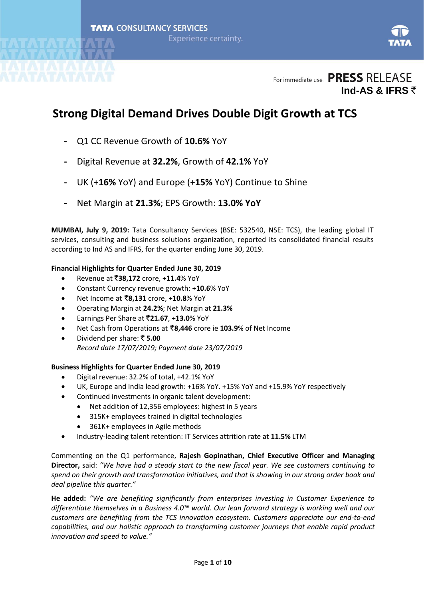

## **Strong Digital Demand Drives Double Digit Growth at TCS**

- **-** Q1 CC Revenue Growth of **10.6%** YoY
- **-** Digital Revenue at **32.2%**, Growth of **42.1%** YoY
- **-** UK (+**16%** YoY) and Europe (+**15%** YoY) Continue to Shine
- **-** Net Margin at **21.3%**; EPS Growth: **13.0% YoY**

**MUMBAI, July 9, 2019:** Tata Consultancy Services (BSE: 532540, NSE: TCS), the leading global IT services, consulting and business solutions organization, reported its consolidated financial results according to Ind AS and IFRS, for the quarter ending June 30, 2019.

#### **Financial Highlights for Quarter Ended June 30, 2019**

- Revenue at `**38,172** crore, +**11.4**% YoY
- Constant Currency revenue growth: +**10.6**% YoY
- Net Income at `**8,131** crore, +**10.8**% YoY
- Operating Margin at **24.2%**; Net Margin at **21.3%**
- Earnings Per Share at `**21.67**, +**13.0**% YoY
- Net Cash from Operations at `**8,446** crore ie **103.9**% of Net Income
- Dividend per share:  $\bar{z}$  **5.00** *Record date 17/07/2019; Payment date 23/07/2019*

#### **Business Highlights for Quarter Ended June 30, 2019**

- Digital revenue: 32.2% of total, +42.1% YoY
- UK, Europe and India lead growth: +16% YoY. +15% YoY and +15.9% YoY respectively
- Continued investments in organic talent development:
	- Net addition of 12,356 employees: highest in 5 years
	- 315K+ employees trained in digital technologies
	- 361K+ employees in Agile methods
- Industry-leading talent retention: IT Services attrition rate at **11.5%** LTM

Commenting on the Q1 performance, **Rajesh Gopinathan, Chief Executive Officer and Managing Director,** said: *"We have had a steady start to the new fiscal year. We see customers continuing to spend on their growth and transformation initiatives, and that is showing in our strong order book and deal pipeline this quarter."* 

**He added:** *"We are benefiting significantly from enterprises investing in Customer Experience to differentiate themselves in a Business 4.0™ world. Our lean forward strategy is working well and our customers are benefiting from the TCS innovation ecosystem. Customers appreciate our end-to-end capabilities, and our holistic approach to transforming customer journeys that enable rapid product innovation and speed to value."*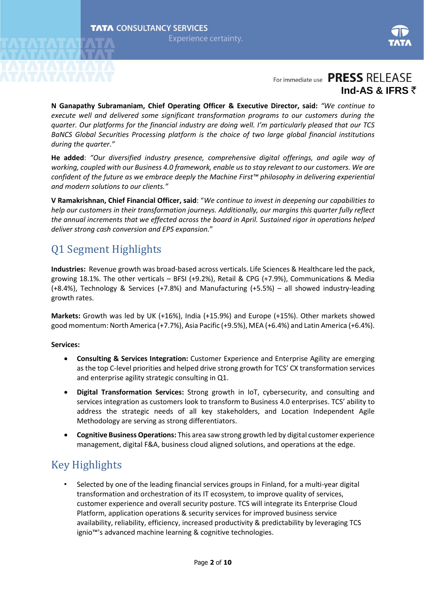

**N Ganapathy Subramaniam, Chief Operating Officer & Executive Director, said:** *"We continue to execute well and delivered some significant transformation programs to our customers during the quarter. Our platforms for the financial industry are doing well. I'm particularly pleased that our TCS BaNCS Global Securities Processing platform is the choice of two large global financial institutions during the quarter."*

**He added**: *"Our diversified industry presence, comprehensive digital offerings, and agile way of working, coupled with our Business 4.0 framework, enable us to stay relevant to our customers. We are confident of the future as we embrace deeply the Machine First™ philosophy in delivering experiential and modern solutions to our clients."* 

**V Ramakrishnan, Chief Financial Officer, said**: "*We continue to invest in deepening our capabilities to help our customers in their transformation journeys. Additionally, our margins this quarter fully reflect the annual increments that we effected across the board in April. Sustained rigor in operations helped deliver strong cash conversion and EPS expansion.*"

# Q1 Segment Highlights

**Industries:** Revenue growth was broad-based across verticals. Life Sciences & Healthcare led the pack, growing 18.1%. The other verticals – BFSI (+9.2%), Retail & CPG (+7.9%), Communications & Media (+8.4%), Technology & Services (+7.8%) and Manufacturing (+5.5%) – all showed industry-leading growth rates.

**Markets:** Growth was led by UK (+16%), India (+15.9%) and Europe (+15%). Other markets showed good momentum: North America (+7.7%), Asia Pacific (+9.5%), MEA (+6.4%) and Latin America (+6.4%).

#### **Services:**

- **Consulting & Services Integration:** Customer Experience and Enterprise Agility are emerging as the top C-level priorities and helped drive strong growth for TCS' CX transformation services and enterprise agility strategic consulting in Q1.
- **Digital Transformation Services:** Strong growth in IoT, cybersecurity, and consulting and services integration as customers look to transform to Business 4.0 enterprises. TCS' ability to address the strategic needs of all key stakeholders, and Location Independent Agile Methodology are serving as strong differentiators.
- **Cognitive Business Operations:** This area saw strong growth led by digital customer experience management, digital F&A, business cloud aligned solutions, and operations at the edge.

## Key Highlights

• Selected by one of the leading financial services groups in Finland, for a multi-year digital transformation and orchestration of its IT ecosystem, to improve quality of services, customer experience and overall security posture. TCS will integrate its Enterprise Cloud Platform, application operations & security services for improved business service availability, reliability, efficiency, increased productivity & predictability by leveraging TCS ignio™'s advanced machine learning & cognitive technologies.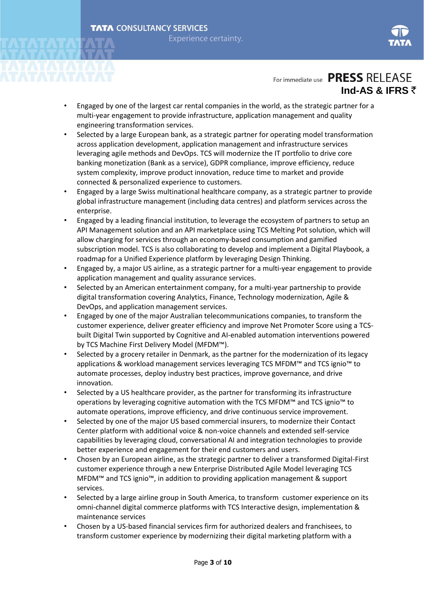

- Engaged by one of the largest car rental companies in the world, as the strategic partner for a multi-year engagement to provide infrastructure, application management and quality engineering transformation services.
- Selected by a large European bank, as a strategic partner for operating model transformation across application development, application management and infrastructure services leveraging agile methods and DevOps. TCS will modernize the IT portfolio to drive core banking monetization (Bank as a service), GDPR compliance, improve efficiency, reduce system complexity, improve product innovation, reduce time to market and provide connected & personalized experience to customers.
- Engaged by a large Swiss multinational healthcare company, as a strategic partner to provide global infrastructure management (including data centres) and platform services across the enterprise.
- Engaged by a leading financial institution, to leverage the ecosystem of partners to setup an API Management solution and an API marketplace using TCS Melting Pot solution, which will allow charging for services through an economy-based consumption and gamified subscription model. TCS is also collaborating to develop and implement a Digital Playbook, a roadmap for a Unified Experience platform by leveraging Design Thinking.
- Engaged by, a major US airline, as a strategic partner for a multi-year engagement to provide application management and quality assurance services.
- Selected by an American entertainment company, for a multi-year partnership to provide digital transformation covering Analytics, Finance, Technology modernization, Agile & DevOps, and application management services.
- Engaged by one of the major Australian telecommunications companies, to transform the customer experience, deliver greater efficiency and improve Net Promoter Score using a TCSbuilt Digital Twin supported by Cognitive and AI-enabled automation interventions powered by TCS Machine First Delivery Model (MFDM™).
- Selected by a grocery retailer in Denmark, as the partner for the modernization of its legacy applications & workload management services leveraging TCS MFDM™ and TCS ignio™ to automate processes, deploy industry best practices, improve governance, and drive innovation.
- Selected by a US healthcare provider, as the partner for transforming its infrastructure operations by leveraging cognitive automation with the TCS MFDM™ and TCS ignio™ to automate operations, improve efficiency, and drive continuous service improvement.
- Selected by one of the major US based commercial insurers, to modernize their Contact Center platform with additional voice & non-voice channels and extended self-service capabilities by leveraging cloud, conversational AI and integration technologies to provide better experience and engagement for their end customers and users.
- Chosen by an European airline, as the strategic partner to deliver a transformed Digital-First customer experience through a new Enterprise Distributed Agile Model leveraging TCS MFDM™ and TCS ignio™, in addition to providing application management & support services.
- Selected by a large airline group in South America, to transform customer experience on its omni-channel digital commerce platforms with TCS Interactive design, implementation & maintenance services
- Chosen by a US-based financial services firm for authorized dealers and franchisees, to transform customer experience by modernizing their digital marketing platform with a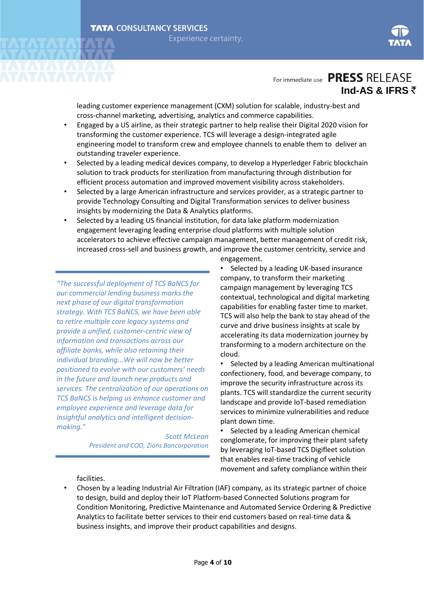

leading customer experience management (CXM) solution for scalable, industry-best and cross-channel marketing, advertising, analytics and commerce capabilities.

- Engaged by a US airline, as their strategic partner to help realise their Digital 2020 vision for transforming the customer experience. TCS will leverage a design-integrated agile engineering model to transform crew and employee channels to enable them to deliver an outstanding traveler experience.
- Selected by a leading medical devices company, to develop a Hyperledger Fabric blockchain solution to track products for sterilization from manufacturing through distribution for efficient process automation and improved movement visibility across stakeholders.
- Selected by a large American infrastructure and services provider, as a strategic partner to provide Technology Consulting and Digital Transformation services to deliver business insights by modernizing the Data & Analytics platforms.
- Selected by a leading US financial institution, for data lake platform modernization engagement leveraging leading enterprise cloud platforms with multiple solution accelerators to achieve effective campaign management, better management of credit risk, increased cross-sell and business growth, and improve the customer centricity, service and

*"The successful deployment of TCS BaNCS for our commercial lending business marks the next phase of our digital transformation strategy. With TCS BaNCS, we have been able to retire multiple core legacy systems and provide a unified, customer-centric view of information and transactions across our affiliate banks, while also retaining their individual branding...We will now be better positioned to evolve with our customers' needs in the future and launch new products and services. The centralization of our operations on TCS BaNCS is helping us enhance customer and employee experience and leverage data for insightful analytics and intelligent decisionmaking."*

> *Scott McLean President and COO, Zions Bancorporation*

engagement.

• Selected by a leading UK-based insurance company, to transform their marketing campaign management by leveraging TCS contextual, technological and digital marketing capabilities for enabling faster time to market. TCS will also help the bank to stay ahead of the curve and drive business insights at scale by accelerating its data modernization journey by transforming to a modern architecture on the cloud.

• Selected by a leading American multinational confectionery, food, and beverage company, to improve the security infrastructure across its plants. TCS will standardize the current security landscape and provide IoT-based remediation services to minimize vulnerabilities and reduce plant down time.

Selected by a leading American chemical conglomerate, for improving their plant safety by leveraging IoT-based TCS Digifleet solution that enables real-time tracking of vehicle movement and safety compliance within their

facilities.

• Chosen by a leading Industrial Air Filtration (IAF) company, as its strategic partner of choice to design, build and deploy their IoT Platform-based Connected Solutions program for Condition Monitoring, Predictive Maintenance and Automated Service Ordering & Predictive Analytics to facilitate better services to their end customers based on real-time data & business insights, and improve their product capabilities and designs.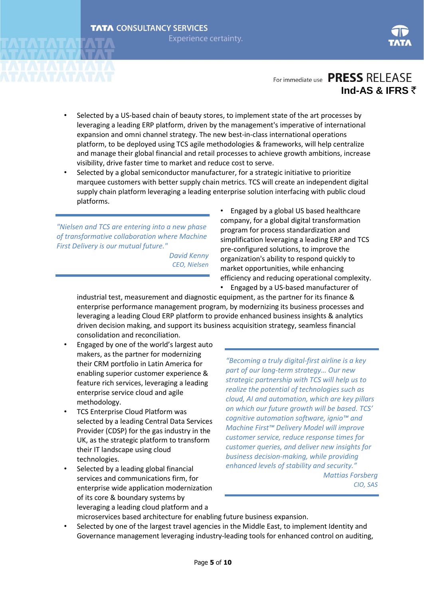

- Selected by a US-based chain of beauty stores, to implement state of the art processes by leveraging a leading ERP platform, driven by the management's imperative of international expansion and omni channel strategy. The new best-in-class international operations platform, to be deployed using TCS agile methodologies & frameworks, will help centralize and manage their global financial and retail processes to achieve growth ambitions, increase visibility, drive faster time to market and reduce cost to serve.
- Selected by a global semiconductor manufacturer, for a strategic initiative to prioritize marquee customers with better supply chain metrics. TCS will create an independent digital supply chain platform leveraging a leading enterprise solution interfacing with public cloud platforms.

*"Nielsen and TCS are entering into a new phase of transformative collaboration where Machine First Delivery is our mutual future."*

> *David Kenny CEO, Nielsen*

• Engaged by a global US based healthcare company, for a global digital transformation program for process standardization and simplification leveraging a leading ERP and TCS pre-configured solutions, to improve the organization's ability to respond quickly to market opportunities, while enhancing efficiency and reducing operational complexity.

• Engaged by a US-based manufacturer of industrial test, measurement and diagnostic equipment, as the partner for its finance &

enterprise performance management program, by modernizing its business processes and leveraging a leading Cloud ERP platform to provide enhanced business insights & analytics driven decision making, and support its business acquisition strategy, seamless financial consolidation and reconciliation.

- Engaged by one of the world's largest auto makers, as the partner for modernizing their CRM portfolio in Latin America for enabling superior customer experience & feature rich services, leveraging a leading enterprise service cloud and agile methodology.
- TCS Enterprise Cloud Platform was selected by a leading Central Data Services Provider (CDSP) for the gas industry in the UK, as the strategic platform to transform their IT landscape using cloud technologies.
- Selected by a leading global financial services and communications firm, for enterprise wide application modernization of its core & boundary systems by leveraging a leading cloud platform and a

*"Becoming a truly digital-first airline is a key part of our long-term strategy… Our new strategic partnership with TCS will help us to realize the potential of technologies such as cloud, AI and automation, which are key pillars on which our future growth will be based. TCS' cognitive automation software, ignio™ and Machine First™ Delivery Model will improve customer service, reduce response times for customer queries, and deliver new insights for business decision-making, while providing enhanced levels of stability and security." Mattias Forsberg* 

*CIO, SAS*

microservices based architecture for enabling future business expansion.

• Selected by one of the largest travel agencies in the Middle East, to implement Identity and Governance management leveraging industry-leading tools for enhanced control on auditing,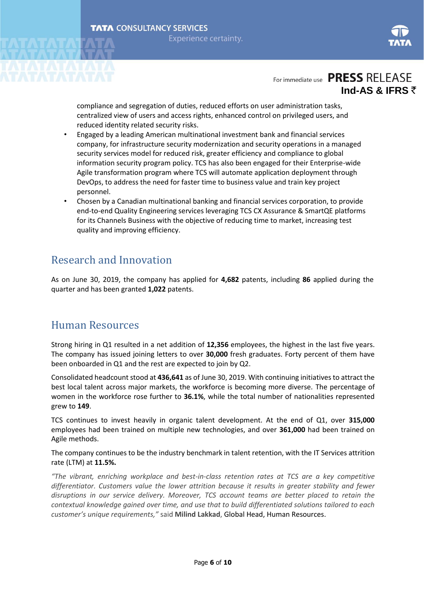

compliance and segregation of duties, reduced efforts on user administration tasks, centralized view of users and access rights, enhanced control on privileged users, and reduced identity related security risks.

- Engaged by a leading American multinational investment bank and financial services company, for infrastructure security modernization and security operations in a managed security services model for reduced risk, greater efficiency and compliance to global information security program policy. TCS has also been engaged for their Enterprise-wide Agile transformation program where TCS will automate application deployment through DevOps, to address the need for faster time to business value and train key project personnel.
- Chosen by a Canadian multinational banking and financial services corporation, to provide end-to-end Quality Engineering services leveraging TCS CX Assurance & SmartQE platforms for its Channels Business with the objective of reducing time to market, increasing test quality and improving efficiency.

## Research and Innovation

As on June 30, 2019, the company has applied for **4,682** patents, including **86** applied during the quarter and has been granted **1,022** patents.

### Human Resources

Strong hiring in Q1 resulted in a net addition of **12,356** employees, the highest in the last five years. The company has issued joining letters to over **30,000** fresh graduates. Forty percent of them have been onboarded in Q1 and the rest are expected to join by Q2.

Consolidated headcount stood at **436,641** as of June 30, 2019. With continuing initiatives to attract the best local talent across major markets, the workforce is becoming more diverse. The percentage of women in the workforce rose further to **36.1%**, while the total number of nationalities represented grew to **149**.

TCS continues to invest heavily in organic talent development. At the end of Q1, over **315,000** employees had been trained on multiple new technologies, and over **361,000** had been trained on Agile methods.

The company continues to be the industry benchmark in talent retention, with the IT Services attrition rate (LTM) at **11.5%.**

*"The vibrant, enriching workplace and best-in-class retention rates at TCS are a key competitive differentiator. Customers value the lower attrition because it results in greater stability and fewer disruptions in our service delivery. Moreover, TCS account teams are better placed to retain the contextual knowledge gained over time, and use that to build differentiated solutions tailored to each customer's unique requirements,"* said **Milind Lakkad**, Global Head, Human Resources.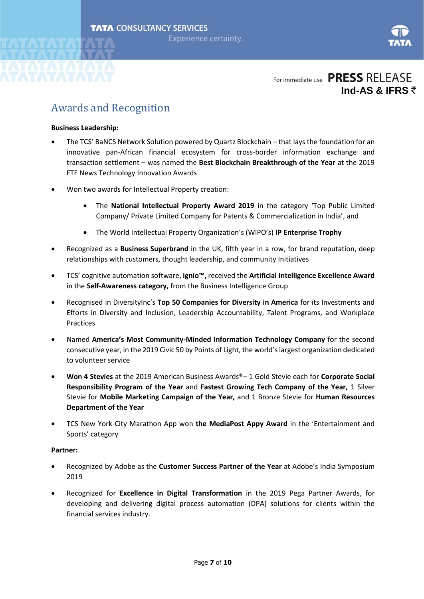



## Awards and Recognition

#### **Business Leadership:**

- The TCS' BaNCS Network Solution powered by Quartz Blockchain that lays the foundation for an innovative pan-African financial ecosystem for cross-border information exchange and transaction settlement – was named the **Best Blockchain Breakthrough of the Year** at the 2019 FTF News Technology Innovation Awards
- Won two awards for Intellectual Property creation:
	- The **National Intellectual Property Award 2019** in the category 'Top Public Limited Company/ Private Limited Company for Patents & Commercialization in India', and
	- The World Intellectual Property Organization's (WIPO's) **IP Enterprise Trophy**
- Recognized as a **Business Superbrand** in the UK, fifth year in a row, for brand reputation, deep relationships with customers, thought leadership, and community Initiatives
- TCS' cognitive automation software, **ignio™,** received the **Artificial Intelligence Excellence Award**  in the **Self-Awareness category,** from the Business Intelligence Group
- Recognised in DiversityInc's **Top 50 Companies for Diversity in America** for its Investments and Efforts in Diversity and Inclusion, Leadership Accountability, Talent Programs, and Workplace Practices
- Named **America's Most Community-Minded Information Technology Company** for the second consecutive year, in the 2019 Civic 50 by Points of Light, the world's largest organization dedicated to volunteer service
- **Won 4 Stevies** at the 2019 American Business Awards®– 1 Gold Stevie each for **Corporate Social Responsibility Program of the Year** and **Fastest Growing Tech Company of the Year,** 1 Silver Stevie for **Mobile Marketing Campaign of the Year,** and 1 Bronze Stevie for **Human Resources Department of the Year**
- TCS New York City Marathon App won **the MediaPost Appy Award** in the 'Entertainment and Sports' category

#### **Partner:**

- Recognized by Adobe as the **Customer Success Partner of the Year** at Adobe's India Symposium 2019
- Recognized for **Excellence in Digital Transformation** in the 2019 Pega Partner Awards, for developing and delivering digital process automation (DPA) solutions for clients within the financial services industry.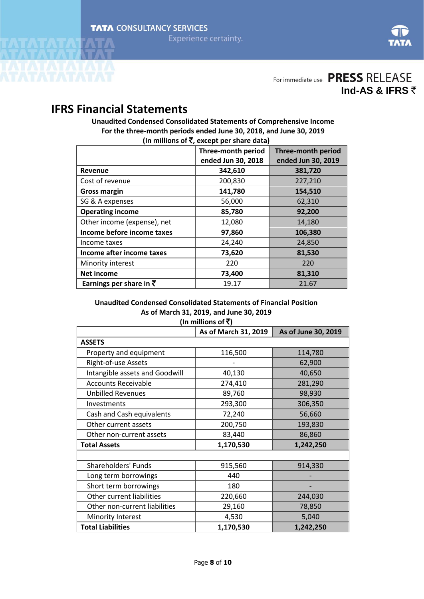

## **IFRS Financial Statements**

**Unaudited Condensed Consolidated Statements of Comprehensive Income For the three-month periods ended June 30, 2018, and June 30, 2019** (In millions of  $\bar{\tau}$ , except per share data)

|                                    | Three-month period | <b>Three-month period</b> |  |  |
|------------------------------------|--------------------|---------------------------|--|--|
|                                    | ended Jun 30, 2018 | ended Jun 30, 2019        |  |  |
| Revenue                            | 342,610            | 381,720                   |  |  |
| Cost of revenue                    | 200,830            | 227,210                   |  |  |
| <b>Gross margin</b>                | 141,780            | 154,510                   |  |  |
| SG & A expenses                    | 56,000             | 62,310                    |  |  |
| <b>Operating income</b>            | 85,780             | 92,200                    |  |  |
| Other income (expense), net        | 12,080             | 14,180                    |  |  |
| Income before income taxes         | 97,860             | 106,380                   |  |  |
| Income taxes                       | 24,240             | 24,850                    |  |  |
| Income after income taxes          | 73,620             | 81,530                    |  |  |
| Minority interest                  | 220                | 220                       |  |  |
| Net income                         | 73,400             | 81,310                    |  |  |
| Earnings per share in $\bar{\tau}$ | 19.17              | 21.67                     |  |  |

#### **Unaudited Condensed Consolidated Statements of Financial Position As of March 31, 2019, and June 30, 2019** (In millions of  $\bar{x}$ )

|                                | As of March 31, 2019 | As of June 30, 2019 |  |  |
|--------------------------------|----------------------|---------------------|--|--|
| <b>ASSETS</b>                  |                      |                     |  |  |
| Property and equipment         | 116,500              | 114,780             |  |  |
| Right-of-use Assets            |                      | 62,900              |  |  |
| Intangible assets and Goodwill | 40,130               | 40,650              |  |  |
| <b>Accounts Receivable</b>     | 274,410              | 281,290             |  |  |
| <b>Unbilled Revenues</b>       | 89,760               | 98,930              |  |  |
| Investments                    | 293,300              | 306,350             |  |  |
| Cash and Cash equivalents      | 72,240               | 56,660              |  |  |
| Other current assets           | 200,750              | 193,830             |  |  |
| Other non-current assets       | 83,440               | 86,860              |  |  |
| <b>Total Assets</b>            | 1,170,530            | 1,242,250           |  |  |
|                                |                      |                     |  |  |
| Shareholders' Funds            | 915,560              | 914,330             |  |  |
| Long term borrowings           | 440                  |                     |  |  |
| Short term borrowings          | 180                  |                     |  |  |
| Other current liabilities      | 220,660              | 244,030             |  |  |
| Other non-current liabilities  | 29,160               | 78,850              |  |  |
| Minority Interest              | 4,530                | 5,040               |  |  |
| <b>Total Liabilities</b>       | 1,170,530            | 1,242,250           |  |  |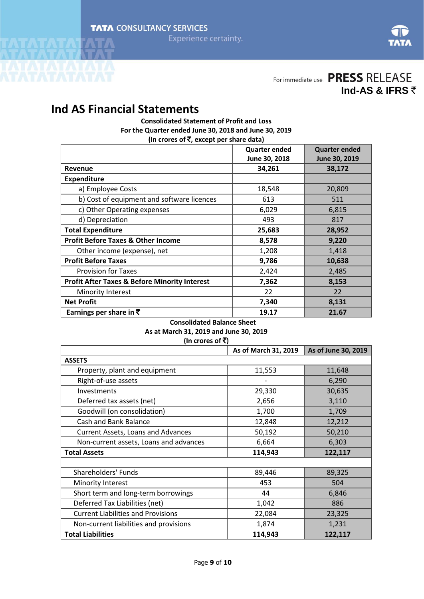

For immediate use PRESS RELEASE

**Ind-AS & IFRS** `

## **Ind AS Financial Statements**

**Consolidated Statement of Profit and Loss For the Quarter ended June 30, 2018 and June 30, 2019 (In crores of** `**, except per share data)**

| $(11.4)$ at all as a $(1)$ and apply part strategy and $(2)$ |                                |                                       |
|--------------------------------------------------------------|--------------------------------|---------------------------------------|
|                                                              | Quarter ended<br>June 30, 2018 | <b>Quarter ended</b><br>June 30, 2019 |
| Revenue                                                      | 34,261                         | 38,172                                |
| <b>Expenditure</b>                                           |                                |                                       |
| a) Employee Costs                                            | 18,548                         | 20,809                                |
| b) Cost of equipment and software licences                   | 613                            | 511                                   |
| c) Other Operating expenses                                  | 6,029                          | 6,815                                 |
| d) Depreciation                                              | 493                            | 817                                   |
| <b>Total Expenditure</b>                                     | 25,683                         | 28,952                                |
| <b>Profit Before Taxes &amp; Other Income</b>                | 8,578                          | 9,220                                 |
| Other income (expense), net                                  | 1,208                          | 1,418                                 |
| <b>Profit Before Taxes</b>                                   | 9,786                          | 10,638                                |
| <b>Provision for Taxes</b>                                   | 2,424                          | 2,485                                 |
| <b>Profit After Taxes &amp; Before Minority Interest</b>     | 7,362                          | 8,153                                 |
| <b>Minority Interest</b>                                     | 22                             | 22                                    |
| <b>Net Profit</b>                                            | 7,340                          | 8,131                                 |
| Earnings per share in $\bar{\tau}$                           | 19.17                          | 21.67                                 |

**Consolidated Balance Sheet As at March 31, 2019 and June 30, 2019**  $\lim_{x \to 0} \frac{1}{2}$ 

| ווו טופאטו                                |                      |                     |
|-------------------------------------------|----------------------|---------------------|
|                                           | As of March 31, 2019 | As of June 30, 2019 |
| <b>ASSETS</b>                             |                      |                     |
| Property, plant and equipment             | 11,553               | 11,648              |
| Right-of-use assets                       |                      | 6,290               |
| Investments                               | 29,330               | 30,635              |
| Deferred tax assets (net)                 | 2,656                | 3,110               |
| Goodwill (on consolidation)               | 1,700                | 1,709               |
| Cash and Bank Balance                     | 12,848               | 12,212              |
| Current Assets, Loans and Advances        | 50,192               | 50,210              |
| Non-current assets, Loans and advances    | 6,664                | 6,303               |
| <b>Total Assets</b>                       | 114,943              | 122,117             |
|                                           |                      |                     |
| Shareholders' Funds                       | 89,446               | 89,325              |
| Minority Interest                         | 453                  | 504                 |
| Short term and long-term borrowings       | 44                   | 6,846               |
| Deferred Tax Liabilities (net)            | 1,042                | 886                 |
| <b>Current Liabilities and Provisions</b> | 22,084               | 23,325              |
| Non-current liabilities and provisions    | 1,874                | 1,231               |
| <b>Total Liabilities</b>                  | 114,943              | 122,117             |